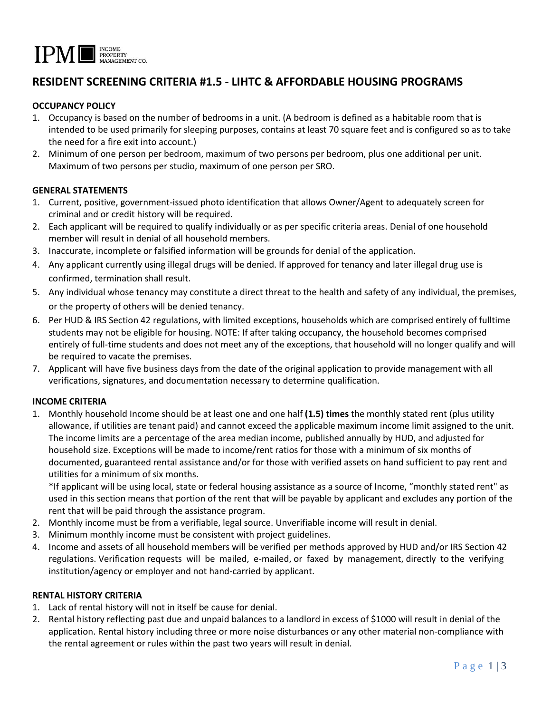

# **RESIDENT SCREENING CRITERIA #1.5 - LIHTC & AFFORDABLE HOUSING PROGRAMS**

# **OCCUPANCY POLICY**

- 1. Occupancy is based on the number of bedrooms in a unit. (A bedroom is defined as a habitable room that is intended to be used primarily for sleeping purposes, contains at least 70 square feet and is configured so as to take the need for a fire exit into account.)
- 2. Minimum of one person per bedroom, maximum of two persons per bedroom, plus one additional per unit. Maximum of two persons per studio, maximum of one person per SRO.

### **GENERAL STATEMENTS**

- 1. Current, positive, government-issued photo identification that allows Owner/Agent to adequately screen for criminal and or credit history will be required.
- 2. Each applicant will be required to qualify individually or as per specific criteria areas. Denial of one household member will result in denial of all household members.
- 3. Inaccurate, incomplete or falsified information will be grounds for denial of the application.
- 4. Any applicant currently using illegal drugs will be denied. If approved for tenancy and later illegal drug use is confirmed, termination shall result.
- 5. Any individual whose tenancy may constitute a direct threat to the health and safety of any individual, the premises, or the property of others will be denied tenancy.
- 6. Per HUD & IRS Section 42 regulations, with limited exceptions, households which are comprised entirely of fulltime students may not be eligible for housing. NOTE: If after taking occupancy, the household becomes comprised entirely of full-time students and does not meet any of the exceptions, that household will no longer qualify and will be required to vacate the premises.
- 7. Applicant will have five business days from the date of the original application to provide management with all verifications, signatures, and documentation necessary to determine qualification.

#### **INCOME CRITERIA**

1. Monthly household Income should be at least one and one half **(1.5) times** the monthly stated rent (plus utility allowance, if utilities are tenant paid) and cannot exceed the applicable maximum income limit assigned to the unit. The income limits are a percentage of the area median income, published annually by HUD, and adjusted for household size. Exceptions will be made to income/rent ratios for those with a minimum of six months of documented, guaranteed rental assistance and/or for those with verified assets on hand sufficient to pay rent and utilities for a minimum of six months.

\*If applicant will be using local, state or federal housing assistance as a source of Income, "monthly stated rent" as used in this section means that portion of the rent that will be payable by applicant and excludes any portion of the rent that will be paid through the assistance program.

- 2. Monthly income must be from a verifiable, legal source. Unverifiable income will result in denial.
- 3. Minimum monthly income must be consistent with project guidelines.
- 4. Income and assets of all household members will be verified per methods approved by HUD and/or IRS Section 42 regulations. Verification requests will be mailed, e-mailed, or faxed by management, directly to the verifying institution/agency or employer and not hand-carried by applicant.

### **RENTAL HISTORY CRITERIA**

- 1. Lack of rental history will not in itself be cause for denial.
- 2. Rental history reflecting past due and unpaid balances to a landlord in excess of \$1000 will result in denial of the application. Rental history including three or more noise disturbances or any other material non-compliance with the rental agreement or rules within the past two years will result in denial.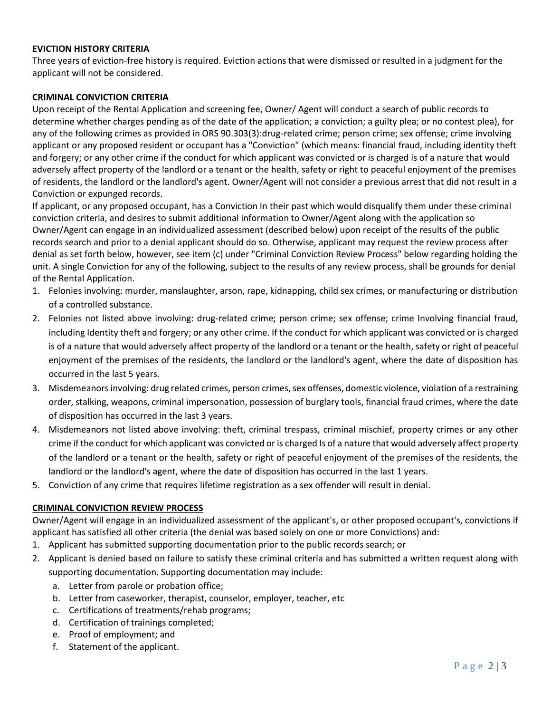# **EVICTION HISTORY CRITERIA**

Three years of eviction-free history is required. Eviction actions that were dismissed or resulted in a judgment for the applicant will not be considered.

# **CRIMINAL CONVICTION CRITERIA**

Upon receipt of the Rental Application and screening fee, Owner/ Agent will conduct a search of public records to determine whether charges pending as of the date of the application; a conviction; a guilty plea; or no contest plea), for any of the following crimes as provided in ORS 90.303(3):drug-related crime; person crime; sex offense; crime involving applicant or any proposed resident or occupant has a "Conviction" (which means: financial fraud, including identity theft and forgery; or any other crime if the conduct for which applicant was convicted or is charged is of a nature that would adversely affect property of the landlord or a tenant or the health, safety or right to peaceful enjoyment of the premises of residents, the landlord or the landlord's agent. Owner/Agent will not consider a previous arrest that did not result in a Conviction or expunged records.

If applicant, or any proposed occupant, has a Conviction In their past which would disqualify them under these criminal conviction criteria, and desires to submit additional information to Owner/Agent along with the application so Owner/Agent can engage in an individualized assessment (described below) upon receipt of the results of the public records search and prior to a denial applicant should do so. Otherwise, applicant may request the review process after denial as set forth below, however, see item (c) under "Criminal Conviction Review Process" below regarding holding the unit. A single Conviction for any of the following, subject to the results of any review process, shall be grounds for denial of the Rental Application.

- 1. Felonies involving: murder, manslaughter, arson, rape, kidnapping, child sex crimes, or manufacturing or distribution of a controlled substance.
- 2. Felonies not listed above involving: drug-related crime; person crime; sex offense; crime Involving financial fraud, including Identity theft and forgery; or any other crime. If the conduct for which applicant was convicted or is charged is of a nature that would adversely affect property of the landlord or a tenant or the health, safety or right of peaceful enjoyment of the premises of the residents, the landlord or the landlord's agent, where the date of disposition has occurred in the last 5 years.
- 3. Misdemeanors involving: drug related crimes, person crimes, sex offenses, domestic violence, violation of a restraining order, stalking, weapons, criminal impersonation, possession of burglary tools, financial fraud crimes, where the date of disposition has occurred in the last 3 years.
- 4. Misdemeanors not listed above involving: theft, criminal trespass, criminal mischief, property crimes or any other crime if the conduct for which applicant was convicted or is charged Is of a nature that would adversely affect property of the landlord or a tenant or the health, safety or right of peaceful enjoyment of the premises of the residents, the landlord or the landlord's agent, where the date of disposition has occurred in the last 1 years.
- 5. Conviction of any crime that requires lifetime registration as a sex offender will result in denial.

# **CRIMINAL CONVICTION REVIEW PROCESS**

Owner/Agent will engage in an individualized assessment of the applicant's, or other proposed occupant's, convictions if applicant has satisfied all other criteria (the denial was based solely on one or more Convictions) and:

- 1. Applicant has submitted supporting documentation prior to the public records search; or
- 2. Applicant is denied based on failure to satisfy these criminal criteria and has submitted a written request along with supporting documentation. Supporting documentation may include:
	- a. Letter from parole or probation office;
	- b. Letter from caseworker, therapist, counselor, employer, teacher, etc
	- c. Certifications of treatments/rehab programs;
	- d. Certification of trainings completed;
	- e. Proof of employment; and
	- f. Statement of the applicant.